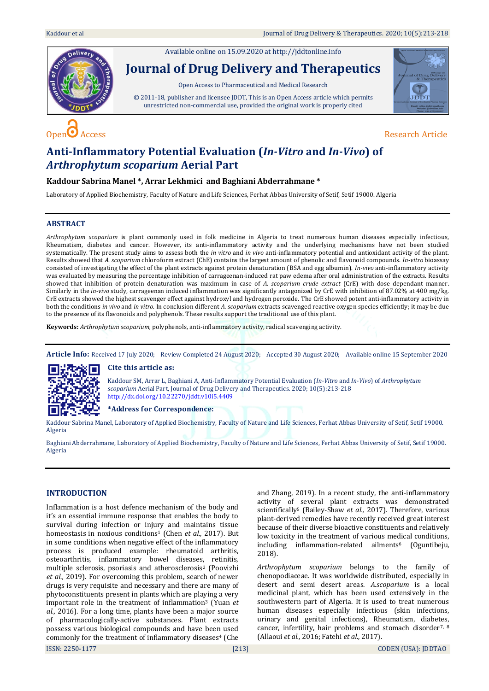



# **Anti-Inflammatory Potential Evaluation (***In-Vitro* **and** *In-Vivo***) of**  *Arthrophytum scoparium* **Aerial Part**

# **Kaddour Sabrina Manel \*, Arrar Lekhmici and Baghiani Abderrahmane \***

Laboratory of Applied Biochemistry, Faculty of Nature and Life Sciences, Ferhat Abbas University of Setif, Setif 19000. Algeria

# **ABSTRACT**

*Arthrophytum scoparium* is plant commonly used in folk medicine in Algeria to treat numerous human diseases especially infectious, Rheumatism, diabetes and cancer. However, its anti-inflammatory activity and the underlying mechanisms have not been studied systematically. The present study aims to assess both the *in vitro* and *in vivo* anti-inflammatory potential and antioxidant activity of the plant. Results showed that *A. scoparium* chloroform extract (ChE) contains the largest amount of phenolic and flavonoid compounds. *In-vitro* bioassay consisted of investigating the effect of the plant extracts against protein denaturation (BSA and egg albumin). *In-vivo* anti-inflammatory activity was evaluated by measuring the percentage inhibition of carrageenan-induced rat paw edema after oral administration of the extracts. Results showed that inhibition of protein denaturation was maximum in case of *A. scoparium crude extract* (CrE) with dose dependant manner. Similarly in the *in-vivo* study, carrageenan induced inflammation was significantly antagonized by CrE with inhibition of 87.02% at 400 mg/kg. CrE extracts showed the highest scavenger effect against hydroxyl and hydrogen peroxide. The CrE showed potent anti-inflammatory activity in both the conditions *in vivo* and *in vitro*. In conclusion different *A. scoparium* extracts scavenged reactive oxygen species efficiently; it may be due to the presence of its flavonoids and polyphenols. These results support the traditional use of this plant.

**Keywords:** *Arthrophytum scoparium,* polyphenols, anti-inflammatory activity, radical scavenging activity.

**Article Info:** Received 17 July 2020; Review Completed 24 August 2020; Accepted 30 August 2020; Available online 15 September 2020



# **Cite this article as:**

Kaddour SM, Arrar L, Baghiani A, Anti-Inflammatory Potential Evaluation (*In-Vitro* and *In-Vivo*) of *Arthrophytum scoparium* Aerial Part, Journal of Drug Delivery and Therapeutics. 2020; 10(5):213-218 <http://dx.doi.org/10.22270/jddt.v10i5.4409>

# **\*Address for Correspondence:**

Kaddour Sabrina Manel, Laboratory of Applied Biochemistry, Faculty of Nature and Life Sciences, Ferhat Abbas University of Setif, Setif 19000. Algeria

Baghiani Abderrahmane, Laboratory of Applied Biochemistry, Faculty of Nature and Life Sciences, Ferhat Abbas University of Setif, Setif 19000. Algeria

# **INTRODUCTION**

ISSN: 2250-1177 [213] CODEN (USA): JDDTAO Inflammation is a host defence mechanism of the body and it's an essential immune response that enables the body to survival during infection or injury and maintains tissue homeostasis in noxious conditions<sup>1</sup> (Chen *et al.,* 2017). But in some conditions when negative effect of the inflammatory process is produced example: rheumatoid arthritis, osteoarthritis, inflammatory bowel diseases, retinitis, multiple sclerosis, psoriasis and atherosclerosis<sup>2</sup> (Poovizhi *et al.,* 2019). For overcoming this problem, search of newer drugs is very requisite and necessary and there are many of phytoconstituents present in plants which are playing a very important role in the treatment of inflammation<sup>3</sup> (Yuan *et al.,* 2016). For a long time, plants have been a major source of pharmacologically-active substances. Plant extracts possess various biological compounds and have been used commonly for the treatment of inflammatory diseases<sup>4</sup> (Che

and Zhang, 2019). In a recent study, the anti-inflammatory activity of several plant extracts was demonstrated scientifically<sup>5</sup> (Bailey-Shaw *et al.,* 2017). Therefore, various plant-derived remedies have recently received great interest because of their diverse bioactive constituents and relatively low toxicity in the treatment of various medical conditions, including inflammation-related ailments<sup>6</sup> (Oguntibeju*,* 2018).

*Arthrophytum scoparium* belongs to the family of chenopodiaceae. It was worldwide distributed, especially in desert and semi desert areas. *A.scoparium* is a local medicinal plant, which has been used extensively in the southwestern part of Algeria. It is used to treat numerous human diseases especially infectious (skin infections, urinary and genital infections), Rheumatism, diabetes, cancer, infertility, hair problems and stomach disorder<sup>7, 8</sup> (Allaoui *et al.,* 2016; Fatehi *et al*., 2017).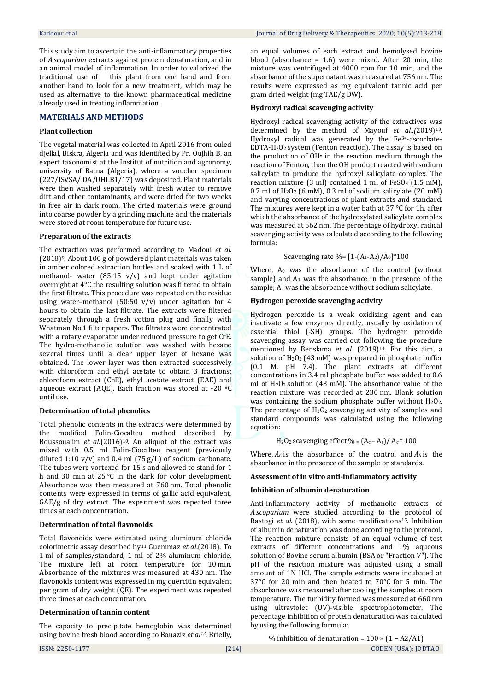This study aim to ascertain the anti-inflammatory properties of *A.scoparium* extracts against protein denaturation, and in an animal model of inflammation. In order to valorized the traditional use of this plant from one hand and from another hand to look for a new treatment, which may be used as alternative to the known pharmaceutical medicine already used in treating inflammation.

## **MATERIALS AND METHODS**

## **Plant collection**

The vegetal material was collected in April 2016 from ouled djellal, Biskra, Algeria and was identified by Pr. Oujhih B. an expert taxonomist at the Institut of nutrition and agronomy, university of Batna (Algeria), where a voucher specimen (227/ISVSA/ DA/UHLB1/17) was deposited. Plant materials were then washed separately with fresh water to remove dirt and other contaminants, and were dried for two weeks in free air in dark room. The dried materials were ground into coarse powder by a grinding machine and the materials were stored at room temperature for future use.

#### **Preparation of the extracts**

The extraction was performed according to Madoui *et al.* (2018)9. About 100 g of powdered plant materials was taken in amber colored extraction bottles and soaked with 1 L of methanol- water  $(85:15 \text{ v/v})$  and kept under agitation overnight at 4°C the resulting solution was filtered to obtain the first filtrate. This procedure was repeated on the residue using water–methanol (50:50 v/v) under agitation for 4 hours to obtain the last filtrate. The extracts were filtered separately through a fresh cotton plug and finally with Whatman No.1 filter papers. The filtrates were concentrated with a rotary evaporator under reduced pressure to get CrE. The hydro-methanolic solution was washed with hexane several times until a clear upper layer of hexane was obtained. The lower layer was then extracted successively with chloroform and ethyl acetate to obtain 3 fractions; chloroform extract (ChE), ethyl acetate extract (EAE) and aqueous extract (AQE). Each fraction was stored at -20 ºC until use.

## **Determination of total phenolics**

Total phenolic contents in the extracts were determined by the modified Folin-Ciocalteu method described by Boussoualim *et al.*(2016)<sup>10</sup>. An aliquot of the extract was mixed with 0.5 ml Folin-Ciocalteu reagent (previously diluted 1:10  $v/v$ ) and 0.4 ml (75 g/L) of sodium carbonate. The tubes were vortexed for 15 s and allowed to stand for 1 h and 30 min at 25 °C in the dark for color development. Absorbance was then measured at 760 nm. Total phenolic contents were expressed in terms of gallic acid equivalent, GAE/g of dry extract. The experiment was repeated three times at each concentration.

## **Determination of total flavonoids**

Total flavonoids were estimated using aluminum chloride colorimetric assay described by<sup>11</sup> Guemmaz *et al*.(2018). To 1 ml of samples/standard, 1 ml of 2% aluminum chloride. The mixture left at room temperature for 10 min. Absorbance of the mixtures was measured at 430 nm. The flavonoids content was expressed in mg quercitin equivalent per gram of dry weight (QE). The experiment was repeated three times at each concentration.

## **Determination of tannin content**

The capacity to precipitate hemoglobin was determined using bovine fresh blood according to Bouaziz *et al12.* Briefly,

an equal volumes of each extract and hemolysed bovine blood (absorbance = 1.6) were mixed. After 20 min, the mixture was centrifuged at 4000 rpm for 10 min, and the absorbance of the supernatant was measured at 756 nm. The results were expressed as mg equivalent tannic acid per gram dried weight (mg TAE/g DW).

## **Hydroxyl radical scavenging activity**

Hydroxyl radical scavenging activity of the extractives was determined by the method of Mayouf *et al.,(*2019) 13. Hydroxyl radical was generated by the Fe3+-ascorbate-EDTA-H2O<sup>2</sup> system (Fenton reaction). The assay is based on the production of OH• in the reaction medium through the reaction of Fenton, then the OH product reacted with sodium salicylate to produce the hydroxyl salicylate complex. The reaction mixture (3 ml) contained 1 ml of FeSO<sup>4</sup> (1.5 mM), 0.7 ml of  $H_2O_2$  (6 mM), 0.3 ml of sodium salicylate (20 mM) and varying concentrations of plant extracts and standard. The mixtures were kept in a water bath at 37 °C for 1h, after which the absorbance of the hydroxylated salicylate complex was measured at 562 nm. The percentage of hydroxyl radical scavenging activity was calculated according to the following formula:

## Scavenging rate %=  $[1-(A_1-A_2)/A_0]*100$

Where, A<sub>0</sub> was the absorbance of the control (without sample) and  $A_1$  was the absorbance in the presence of the sample; A<sub>2</sub> was the absorbance without sodium salicylate.

## **Hydrogen peroxide scavenging activity**

Hydrogen peroxide is a weak oxidizing agent and can inactivate a few enzymes directly, usually by oxidation of essential thiol (-SH) groups. The hydrogen peroxide scavenging assay was carried out following the procedure mentioned by Benslama *et al.* (2019)<sup>14</sup>. For this aim, a solution of  $H_2O_2$  (43 mM) was prepared in phosphate buffer (0.1 M, pH 7.4). The plant extracts at different concentrations in 3.4 ml phosphate buffer was added to 0.6 ml of  $H_2O_2$  solution (43 mM). The absorbance value of the reaction mixture was recorded at 230 nm. Blank solution was containing the sodium phosphate buffer without  $H_2O_2$ . The percentage of  $H_2O_2$  scavenging activity of samples and standard compounds was calculated using the following equation:

$$
H_2O_2
$$
scavending effect % =  $(A_c - A_s)/A_c * 100$ 

Where,  $A_C$  is the absorbance of the control and  $A_S$  is the absorbance in the presence of the sample or standards.

## **Assessment of in vitro anti-inflammatory activity**

## **Inhibition of albumin denaturation**

Anti-inflammatory activity of methanolic extracts of *A.scoparium* were studied according to the protocol of Rastogi *et al.* (2018), with some modifications<sup>15</sup>. Inhibition of albumin denaturation was done according to the protocol. The reaction mixture consists of an equal volume of test extracts of different concentrations and 1% aqueous solution of Bovine serum albumin (BSA or "Fraction V"). The pH of the reaction mixture was adjusted using a small amount of 1N HCl. The sample extracts were incubated at 37°C for 20 min and then heated to 70°C for 5 min. The absorbance was measured after cooling the samples at room temperature. The turbidity formed was measured at 660 nm using ultraviolet (UV)-visible spectrophotometer. The percentage inhibition of protein denaturation was calculated by using the following formula:

ISSN: 2250-1177 [214] CODEN (USA): JDDTAO % inhibition of denaturation =  $100 \times (1 - A2/A1)$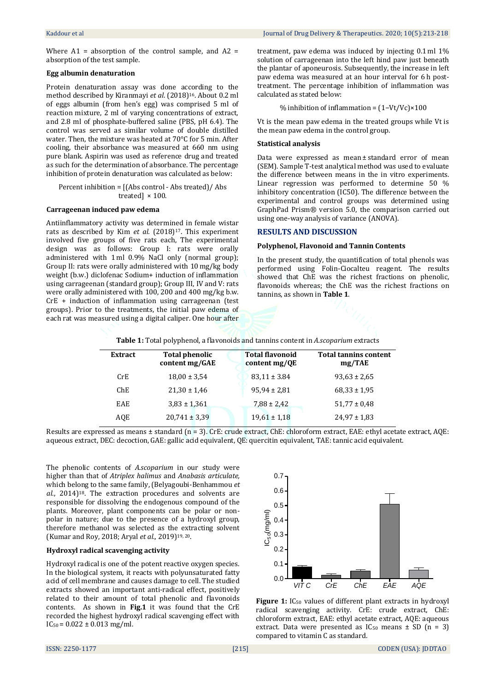Where  $A1$  = absorption of the control sample, and  $A2$  = absorption of the test sample.

## **Egg albumin denaturation**

Protein denaturation assay was done according to the method described by Kiranmayi *et al*. (2018)16. About 0.2 ml of eggs albumin (from hen's egg) was comprised 5 ml of reaction mixture, 2 ml of varying concentrations of extract, and 2.8 ml of phosphate-buffered saline (PBS, pH 6.4). The control was served as similar volume of double distilled water. Then, the mixture was heated at 70°C for 5 min. After cooling, their absorbance was measured at 660 nm using pure blank. Aspirin was used as reference drug and treated as such for the determination of absorbance. The percentage inhibition of protein denaturation was calculated as below:

Percent inhibition = [(Abs control - Abs treated)/ Abs treated] × 100.

# **Carrageenan induced paw edema**

Antiinflammatory activity was determined in female wistar rats as described by Kim *et al.* (2018)<sup>17</sup>. This experiment involved five groups of five rats each, The experimental design was as follows: Group I: rats were orally administered with 1 ml 0.9% NaCl only (normal group); Group II: rats were orally administered with 10 mg/kg body weight (b.w.) diclofenac Sodium+ induction of inflammation using carrageenan (standard group); Group III, IV and V: rats were orally administered with 100, 200 and 400 mg/kg b.w. CrE + induction of inflammation using carrageenan (test groups). Prior to the treatments, the initial paw edema of each rat was measured using a digital caliper. One hour after

treatment, paw edema was induced by injecting 0.1 ml 1% solution of carrageenan into the left hind paw just beneath the plantar of aponeurosis. Subsequently, the increase in left paw edema was measured at an hour interval for 6 h posttreatment. The percentage inhibition of inflammation was calculated as stated below:

## % inhibition of inflammation = (1−Vt/Vc)×100

Vt is the mean paw edema in the treated groups while Vt is the mean paw edema in the control group.

# **Statistical analysis**

Data were expressed as mean ± standard error of mean (SEM). Sample T-test analytical method was used to evaluate the difference between means in the in vitro experiments. Linear regression was performed to determine 50 % inhibitory concentration (IC50). The difference between the experimental and control groups was determined using GraphPad Prism® version 5.0, the comparison carried out using one-way analysis of variance (ANOVA).

# **RESULTS AND DISCUSSION**

## **Polyphenol, Flavonoid and Tannin Contents**

In the present study, the quantification of total phenols was performed using Folin-Ciocalteu reagent. The results showed that ChE was the richest fractions on phenolic, flavonoids whereas; the ChE was the richest fractions on tannins, as shown in **Table 1**.

| Table 1: Total polyphenol, a flavonoids and tannins content in A.scoparium extracts |  |  |
|-------------------------------------------------------------------------------------|--|--|
|                                                                                     |  |  |

| <b>Extract</b> | <b>Total phenolic</b><br>content mg/GAE | <b>Total flavonoid</b><br>content $mg/QE$ | <b>Total tannins content</b><br>mg/TAE |
|----------------|-----------------------------------------|-------------------------------------------|----------------------------------------|
| CrE            | $18,00 \pm 3,54$                        | $83,11 \pm 3.84$                          | $93,63 \pm 2,65$                       |
| ChE            | $21,30 \pm 1,46$                        | $95,94 \pm 2,81$                          | $68,33 \pm 1,95$                       |
| EAE            | $3,83 \pm 1,361$                        | $7,88 \pm 2,42$                           | $51,77 \pm 0.48$                       |
| AOE            | $20,741 \pm 3,39$                       | $19,61 \pm 1,18$                          | $24,97 \pm 1,83$                       |
|                |                                         |                                           |                                        |

Results are expressed as means ± standard (n = 3). CrE: crude extract, ChE: chloroform extract, EAE: ethyl acetate extract, AQE: aqueous extract, DEC: decoction, GAE: gallic acid equivalent, QE: quercitin equivalent, TAE: tannic acid equivalent.

The phenolic contents of *A.scoparium* in our study were higher than that of *Atriplex halimus* and *Anabasis articulate,* which belong to the same family, (Belyagoubi-Benhammou *et al*., 2014)18. The extraction procedures and solvents are responsible for dissolving the endogenous compound of the plants. Moreover, plant components can be polar or nonpolar in nature; due to the presence of a hydroxyl group, therefore methanol was selected as the extracting solvent (Kumar and Roy, 2018; Aryal *et al.,* 2019)19, 20.

# **Hydroxyl radical scavenging activity**

Hydroxyl radical is one of the potent reactive oxygen species. In the biological system, it reacts with polyunsaturated fatty acid of cell membrane and causes damage to cell. The studied extracts showed an important anti-radical effect, positively related to their amount of total phenolic and flavonoids contents. As shown in **Fig.1** it was found that the CrE recorded the highest hydroxyl radical scavenging effect with  $IC_{50} = 0.022 \pm 0.013$  mg/ml.



**Figure 1:** IC<sub>50</sub> values of different plant extracts in hydroxyl radical scavenging activity. CrE: crude extract, ChE: chloroform extract, EAE: ethyl acetate extract, AQE: aqueous extract. Data were presented as  $IC_{50}$  means  $\pm$  SD (n = 3) compared to vitamin C as standard.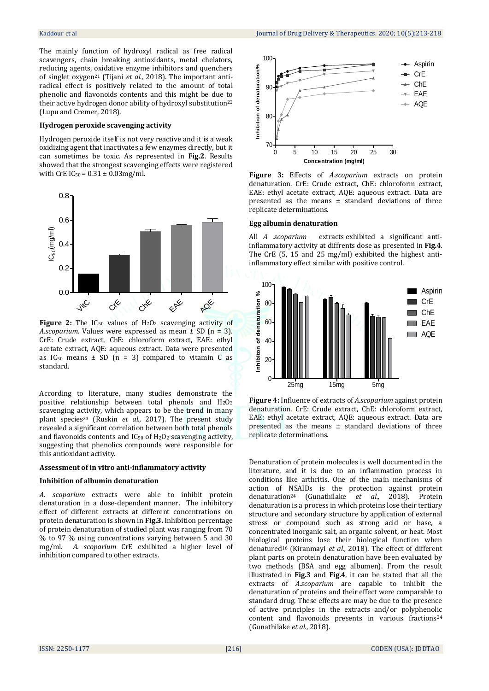The mainly function of hydroxyl radical as free radical scavengers, chain breaking antioxidants, metal chelators, reducing agents, oxidative enzyme inhibitors and quenchers of singlet oxygen<sup>21</sup> (Tijani *et al.,* 2018). The important antiradical effect is positively related to the amount of total phenolic and flavonoids contents and this might be due to their active hydrogen donor ability of hydroxyl substitution<sup>22</sup> (Lupu and Cremer, 2018).

#### **Hydrogen peroxide scavenging activity**

Hydrogen peroxide itself is not very reactive and it is a weak oxidizing agent that inactivates a few enzymes directly, but it can sometimes be toxic. As represented in **Fig.2**. Results showed that the strongest scavenging effects were registered with CrE  $IC_{50} = 0.31 \pm 0.03$ mg/ml.



Figure 2: The IC<sub>50</sub> values of H<sub>2</sub>O<sub>2</sub> scavenging activity of *A.scoparium*. Values were expressed as mean ± SD (n = 3). CrE: Crude extract, ChE: chloroform extract, EAE: ethyl acetate extract, AQE: aqueous extract. Data were presented as IC<sub>50</sub> means  $\pm$  SD (n = 3) compared to vitamin C as standard.

According to literature, many studies demonstrate the positive relationship between total phenols and H2O<sup>2</sup> scavenging activity, which appears to be the trend in many plant species<sup>23</sup> (Ruskin *et al.,* 2017). The present study revealed a significant correlation between both total phenols and flavonoids contents and  $IC_{50}$  of  $H_2O_2$  scavenging activity, suggesting that phenolics compounds were responsible for this antioxidant activity.

#### **Assessment of in vitro anti-inflammatory activity**

# **Inhibition of albumin denaturation**

*A. scoparium* extracts were able to inhibit protein denaturation in a dose-dependent manner. The inhibitory effect of different extracts at different concentrations on protein denaturation is shown in **Fig.3.** Inhibition percentage of protein denaturation of studied plant was ranging from 70 % to 97 % using concentrations varying between 5 and 30 mg/ml. *A. scoparium* CrE exhibited a higher level of inhibition compared to other extracts.



**Figure 3:** Effects of *A.scoparium* extracts on protein denaturation. CrE: Crude extract, ChE: chloroform extract, EAE: ethyl acetate extract, AQE: aqueous extract. Data are presented as the means ± standard deviations of three replicate determinations.

# **Egg albumin denaturation**

All *A .scoparium* extracts exhibited a significant antiinflammatory activity at diffrents dose as presented in **Fig.4**. The CrE (5, 15 and 25 mg/ml) exhibited the highest antiinflammatory effect similar with positive control.



**Figure 4:** Influence of extracts of *A.scoparium* against protein denaturation. CrE: Crude extract, ChE: chloroform extract, EAE: ethyl acetate extract, AQE: aqueous extract. Data are presented as the means ± standard deviations of three replicate determinations.

Denaturation of protein molecules is well documented in the literature, and it is due to an inflammation process in conditions like arthritis. One of the main mechanisms of action of NSAIDs is the protection against protein denaturation<sup>24</sup> (Gunathilake *et al.,* 2018). Protein denaturation is a process in which proteins lose their tertiary structure and secondary structure by application of external stress or compound such as strong acid or base, a concentrated inorganic salt, an organic solvent, or heat. Most biological proteins lose their biological function when denatured<sup>16</sup> (Kiranmayi *et al.,* 2018). The effect of different plant parts on protein denaturation have been evaluated by two methods (BSA and egg albumen). From the result illustrated in **Fig.3** and **Fig.4**, it can be stated that all the extracts of *A.scoparium* are capable to inhibit the denaturation of proteins and their effect were comparable to standard drug. These effects are may be due to the presence of active principles in the extracts and/or polyphenolic content and flavonoids presents in various fractions<sup>24</sup> (Gunathilake *et al.,* 2018).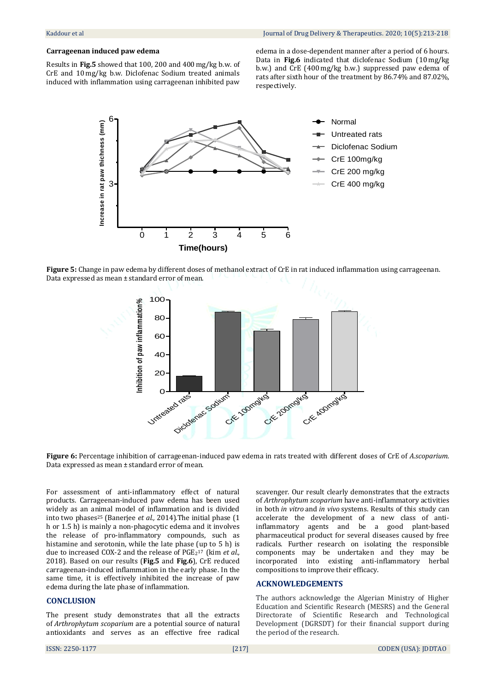# **Carrageenan induced paw edema**

Results in **Fig.5** showed that 100, 200 and 400 mg/kg b.w. of CrE and 10 mg/kg b.w. Diclofenac Sodium treated animals induced with inflammation using carrageenan inhibited paw

edema in a dose-dependent manner after a period of 6 hours. Data in **Fig.6** indicated that diclofenac Sodium (10 mg/kg b.w.) and CrE (400 mg/kg b.w.) suppressed paw edema of rats after sixth hour of the treatment by 86.74% and 87.02%, respectively.



**Figure 5:** Change in paw edema by different doses of methanol extract of CrE in rat induced inflammation using carrageenan. Data expressed as mean ± standard error of mean.



**Figure 6:** Percentage inhibition of carrageenan-induced paw edema in rats treated with different doses of CrE of *A.scoparium*. Data expressed as mean ± standard error of mean.

For assessment of anti-inflammatory effect of natural products. Carrageenan-induced paw edema has been used widely as an animal model of inflammation and is divided into two phases<sup>25</sup> (Banerjee *et al.,* 2014).The initial phase (1 h or 1.5 h) is mainly a non-phagocytic edema and it involves the release of pro-inflammatory compounds, such as histamine and serotonin, while the late phase (up to 5 h) is due to increased COX-2 and the release of PGE<sup>2</sup> 17 (kim *et al.,* 2018). Based on our results (**Fig.5** and **Fig.6**), CrE reduced carrageenan-induced inflammation in the early phase. In the same time, it is effectively inhibited the increase of paw edema during the late phase of inflammation.

# **CONCLUSION**

The present study demonstrates that all the extracts of *Arthrophytum scoparium* are a potential source of natural antioxidants and serves as an effective free radical scavenger. Our result clearly demonstrates that the extracts of *Arthrophytum scoparium* have anti-inflammatory activities in both *in vitro* and *in vivo* systems. Results of this study can accelerate the development of a new class of antiinflammatory agents and be a good plant-based pharmaceutical product for several diseases caused by free radicals. Further research on isolating the responsible components may be undertaken and they may be incorporated into existing anti-inflammatory herbal compositions to improve their efficacy.

# **ACKNOWLEDGEMENTS**

The authors acknowledge the Algerian Ministry of Higher Education and Scientific Research (MESRS) and the General Directorate of Scientific Research and Technological Development (DGRSDT) for their financial support during the period of the research.